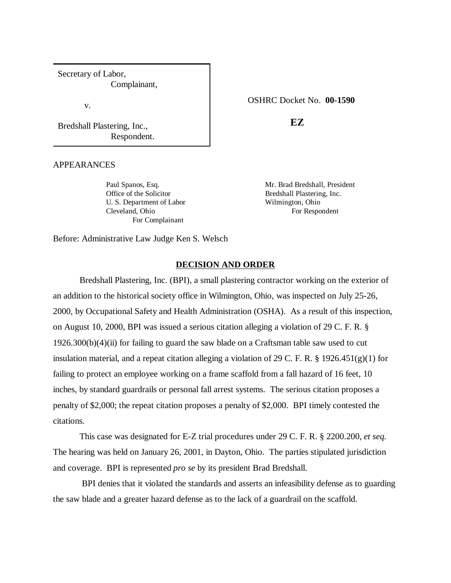Secretary of Labor, Complainant,

v.

Bredshall Plastering, Inc., Respondent.

APPEARANCES

Office of the Solicitor Bredshall Plastering, Inc. U. S. Department of Labor Wilmington, Ohio Cleveland, Ohio For Respondent For Complainant

OSHRC Docket No. **00-1590**

**EZ**

Paul Spanos, Esq. Mr. Brad Bredshall, President

Before: Administrative Law Judge Ken S. Welsch

### **DECISION AND ORDER**

Bredshall Plastering, Inc. (BPI), a small plastering contractor working on the exterior of an addition to the historical society office in Wilmington, Ohio, was inspected on July 25-26, 2000, by Occupational Safety and Health Administration (OSHA). As a result of this inspection, on August 10, 2000, BPI was issued a serious citation alleging a violation of 29 C. F. R. §  $1926.300(b)(4)(ii)$  for failing to guard the saw blade on a Craftsman table saw used to cut insulation material, and a repeat citation alleging a violation of 29 C. F. R. § 1926.451(g)(1) for failing to protect an employee working on a frame scaffold from a fall hazard of 16 feet, 10 inches, by standard guardrails or personal fall arrest systems. The serious citation proposes a penalty of \$2,000; the repeat citation proposes a penalty of \$2,000. BPI timely contested the citations.

This case was designated for E-Z trial procedures under 29 C. F. R. § 2200.200, *et seq.* The hearing was held on January 26, 2001, in Dayton, Ohio. The parties stipulated jurisdiction and coverage. BPI is represented *pro se* by its president Brad Bredshall.

 BPI denies that it violated the standards and asserts an infeasibility defense as to guarding the saw blade and a greater hazard defense as to the lack of a guardrail on the scaffold.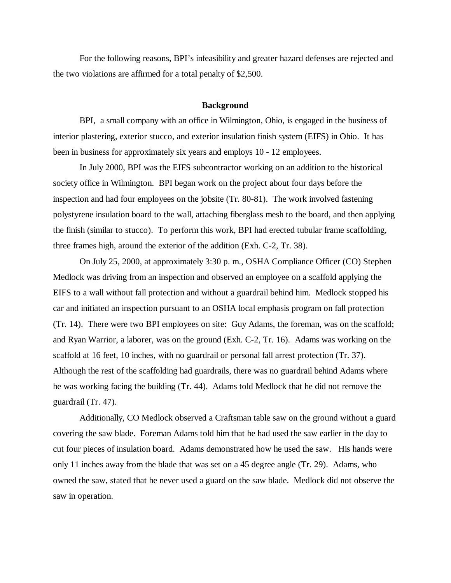For the following reasons, BPI's infeasibility and greater hazard defenses are rejected and the two violations are affirmed for a total penalty of \$2,500.

#### **Background**

BPI, a small company with an office in Wilmington, Ohio, is engaged in the business of interior plastering, exterior stucco, and exterior insulation finish system (EIFS) in Ohio. It has been in business for approximately six years and employs 10 - 12 employees.

In July 2000, BPI was the EIFS subcontractor working on an addition to the historical society office in Wilmington. BPI began work on the project about four days before the inspection and had four employees on the jobsite (Tr. 80-81). The work involved fastening polystyrene insulation board to the wall, attaching fiberglass mesh to the board, and then applying the finish (similar to stucco). To perform this work, BPI had erected tubular frame scaffolding, three frames high, around the exterior of the addition (Exh. C-2, Tr. 38).

On July 25, 2000, at approximately 3:30 p. m., OSHA Compliance Officer (CO) Stephen Medlock was driving from an inspection and observed an employee on a scaffold applying the EIFS to a wall without fall protection and without a guardrail behind him. Medlock stopped his car and initiated an inspection pursuant to an OSHA local emphasis program on fall protection (Tr. 14). There were two BPI employees on site: Guy Adams, the foreman, was on the scaffold; and Ryan Warrior, a laborer, was on the ground (Exh. C-2, Tr. 16). Adams was working on the scaffold at 16 feet, 10 inches, with no guardrail or personal fall arrest protection (Tr. 37). Although the rest of the scaffolding had guardrails, there was no guardrail behind Adams where he was working facing the building (Tr. 44). Adams told Medlock that he did not remove the guardrail (Tr. 47).

Additionally, CO Medlock observed a Craftsman table saw on the ground without a guard covering the saw blade. Foreman Adams told him that he had used the saw earlier in the day to cut four pieces of insulation board. Adams demonstrated how he used the saw. His hands were only 11 inches away from the blade that was set on a 45 degree angle (Tr. 29). Adams, who owned the saw, stated that he never used a guard on the saw blade. Medlock did not observe the saw in operation.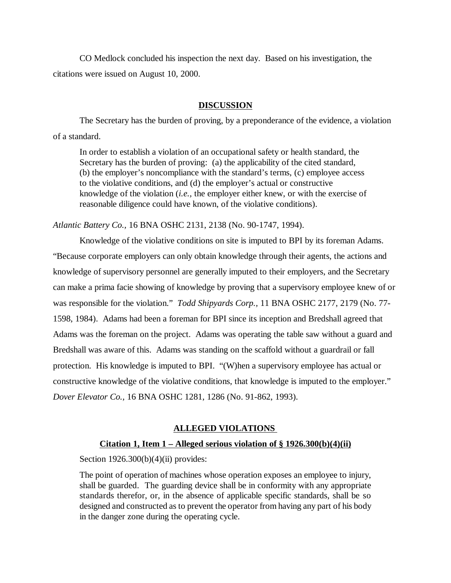CO Medlock concluded his inspection the next day. Based on his investigation, the citations were issued on August 10, 2000.

# **DISCUSSION**

The Secretary has the burden of proving, by a preponderance of the evidence, a violation of a standard.

In order to establish a violation of an occupational safety or health standard, the Secretary has the burden of proving: (a) the applicability of the cited standard, (b) the employer's noncompliance with the standard's terms, (c) employee access to the violative conditions, and (d) the employer's actual or constructive knowledge of the violation (*i.e.,* the employer either knew, or with the exercise of reasonable diligence could have known, of the violative conditions).

*Atlantic Battery Co.,* 16 BNA OSHC 2131, 2138 (No. 90-1747, 1994).

Knowledge of the violative conditions on site is imputed to BPI by its foreman Adams. "Because corporate employers can only obtain knowledge through their agents, the actions and knowledge of supervisory personnel are generally imputed to their employers, and the Secretary can make a prima facie showing of knowledge by proving that a supervisory employee knew of or was responsible for the violation." *Todd Shipyards Corp.,* 11 BNA OSHC 2177, 2179 (No. 77- 1598, 1984). Adams had been a foreman for BPI since its inception and Bredshall agreed that Adams was the foreman on the project. Adams was operating the table saw without a guard and Bredshall was aware of this. Adams was standing on the scaffold without a guardrail or fall protection. His knowledge is imputed to BPI. "(W)hen a supervisory employee has actual or constructive knowledge of the violative conditions, that knowledge is imputed to the employer." *Dover Elevator Co.,* 16 BNA OSHC 1281, 1286 (No. 91-862, 1993).

# **ALLEGED VIOLATIONS**

# **Citation 1, Item 1 – Alleged serious violation of § 1926.300(b)(4)(ii)**

Section  $1926.300(b)(4)(ii)$  provides:

The point of operation of machines whose operation exposes an employee to injury, shall be guarded. The guarding device shall be in conformity with any appropriate standards therefor, or, in the absence of applicable specific standards, shall be so designed and constructed as to prevent the operator from having any part of his body in the danger zone during the operating cycle.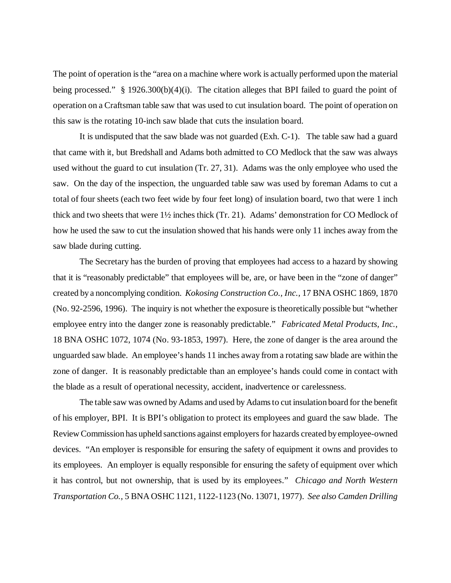The point of operation is the "area on a machine where work is actually performed upon the material being processed." § 1926.300(b)(4)(i). The citation alleges that BPI failed to guard the point of operation on a Craftsman table saw that was used to cut insulation board. The point of operation on this saw is the rotating 10-inch saw blade that cuts the insulation board.

It is undisputed that the saw blade was not guarded (Exh. C-1). The table saw had a guard that came with it, but Bredshall and Adams both admitted to CO Medlock that the saw was always used without the guard to cut insulation (Tr. 27, 31). Adams was the only employee who used the saw. On the day of the inspection, the unguarded table saw was used by foreman Adams to cut a total of four sheets (each two feet wide by four feet long) of insulation board, two that were 1 inch thick and two sheets that were 1½ inches thick (Tr. 21). Adams' demonstration for CO Medlock of how he used the saw to cut the insulation showed that his hands were only 11 inches away from the saw blade during cutting.

The Secretary has the burden of proving that employees had access to a hazard by showing that it is "reasonably predictable" that employees will be, are, or have been in the "zone of danger" created by a noncomplying condition. *Kokosing Construction Co., Inc.,* 17 BNA OSHC 1869, 1870 (No. 92-2596, 1996). The inquiry is not whether the exposure is theoretically possible but "whether employee entry into the danger zone is reasonably predictable." *Fabricated Metal Products, Inc.,* 18 BNA OSHC 1072, 1074 (No. 93-1853, 1997). Here, the zone of danger is the area around the unguarded saw blade. An employee's hands 11 inches away from a rotating saw blade are within the zone of danger. It is reasonably predictable than an employee's hands could come in contact with the blade as a result of operational necessity, accident, inadvertence or carelessness.

The table saw was owned by Adams and used by Adams to cut insulation board for the benefit of his employer, BPI. It is BPI's obligation to protect its employees and guard the saw blade. The Review Commission has upheld sanctions against employers for hazards created by employee-owned devices. "An employer is responsible for ensuring the safety of equipment it owns and provides to its employees. An employer is equally responsible for ensuring the safety of equipment over which it has control, but not ownership, that is used by its employees." *Chicago and North Western Transportation Co.,* 5 BNA OSHC 1121, 1122-1123 (No. 13071, 1977). *See also Camden Drilling*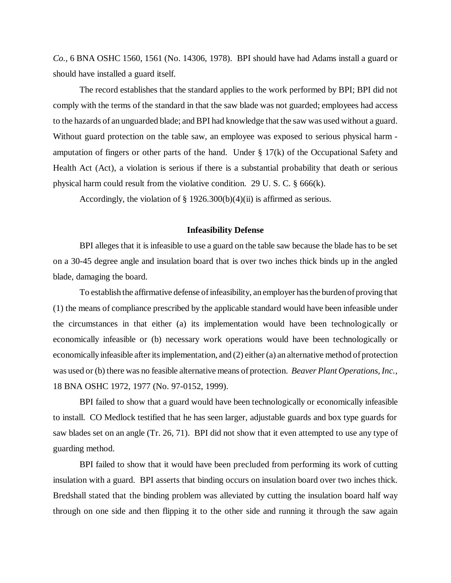*Co.,* 6 BNA OSHC 1560, 1561 (No. 14306, 1978). BPI should have had Adams install a guard or should have installed a guard itself.

The record establishes that the standard applies to the work performed by BPI; BPI did not comply with the terms of the standard in that the saw blade was not guarded; employees had access to the hazards of an unguarded blade; and BPI had knowledge that the saw was used without a guard. Without guard protection on the table saw, an employee was exposed to serious physical harm amputation of fingers or other parts of the hand. Under § 17(k) of the Occupational Safety and Health Act (Act), a violation is serious if there is a substantial probability that death or serious physical harm could result from the violative condition. 29 U. S. C. § 666(k).

Accordingly, the violation of  $\S 1926.300(b)(4)(ii)$  is affirmed as serious.

### **Infeasibility Defense**

BPI alleges that it is infeasible to use a guard on the table saw because the blade has to be set on a 30-45 degree angle and insulation board that is over two inches thick binds up in the angled blade, damaging the board.

To establish the affirmative defense of infeasibility, an employer has the burden of proving that (1) the means of compliance prescribed by the applicable standard would have been infeasible under the circumstances in that either (a) its implementation would have been technologically or economically infeasible or (b) necessary work operations would have been technologically or economically infeasible after its implementation, and (2) either (a) an alternative method of protection was used or (b) there was no feasible alternative means of protection. *Beaver Plant Operations, Inc.,* 18 BNA OSHC 1972, 1977 (No. 97-0152, 1999).

BPI failed to show that a guard would have been technologically or economically infeasible to install. CO Medlock testified that he has seen larger, adjustable guards and box type guards for saw blades set on an angle (Tr. 26, 71). BPI did not show that it even attempted to use any type of guarding method.

 BPI failed to show that it would have been precluded from performing its work of cutting insulation with a guard. BPI asserts that binding occurs on insulation board over two inches thick. Bredshall stated that the binding problem was alleviated by cutting the insulation board half way through on one side and then flipping it to the other side and running it through the saw again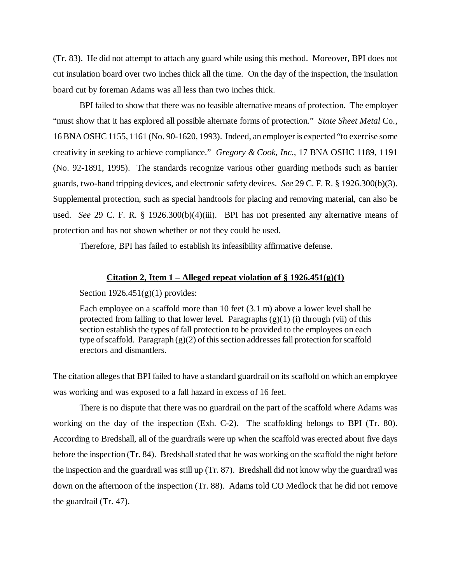(Tr. 83). He did not attempt to attach any guard while using this method. Moreover, BPI does not cut insulation board over two inches thick all the time. On the day of the inspection, the insulation board cut by foreman Adams was all less than two inches thick.

BPI failed to show that there was no feasible alternative means of protection. The employer "must show that it has explored all possible alternate forms of protection." *State Sheet Metal* Co*.,* 16 BNA OSHC 1155, 1161 (No. 90-1620, 1993). Indeed, an employer is expected "to exercise some creativity in seeking to achieve compliance." *Gregory & Cook, Inc.,* 17 BNA OSHC 1189, 1191 (No. 92-1891, 1995). The standards recognize various other guarding methods such as barrier guards, two-hand tripping devices, and electronic safety devices. *See* 29 C. F. R. § 1926.300(b)(3). Supplemental protection, such as special handtools for placing and removing material, can also be used. *See* 29 C. F. R. § 1926.300(b)(4)(iii). BPI has not presented any alternative means of protection and has not shown whether or not they could be used.

Therefore, BPI has failed to establish its infeasibility affirmative defense.

# **Citation 2, Item 1 – Alleged repeat violation of § 1926.451(g)(1)**

Section  $1926.451(g)(1)$  provides:

Each employee on a scaffold more than 10 feet (3.1 m) above a lower level shall be protected from falling to that lower level. Paragraphs  $(g)(1)$  (i) through (vii) of this section establish the types of fall protection to be provided to the employees on each type of scaffold. Paragraph (g)(2) of this section addresses fall protection for scaffold erectors and dismantlers.

The citation alleges that BPI failed to have a standard guardrail on its scaffold on which an employee was working and was exposed to a fall hazard in excess of 16 feet.

There is no dispute that there was no guardrail on the part of the scaffold where Adams was working on the day of the inspection (Exh. C-2). The scaffolding belongs to BPI (Tr. 80). According to Bredshall, all of the guardrails were up when the scaffold was erected about five days before the inspection (Tr. 84). Bredshall stated that he was working on the scaffold the night before the inspection and the guardrail was still up (Tr. 87). Bredshall did not know why the guardrail was down on the afternoon of the inspection (Tr. 88). Adams told CO Medlock that he did not remove the guardrail (Tr. 47).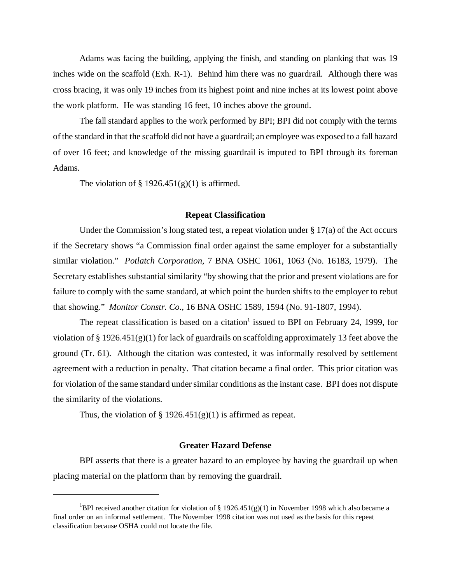Adams was facing the building, applying the finish, and standing on planking that was 19 inches wide on the scaffold (Exh. R-1). Behind him there was no guardrail. Although there was cross bracing, it was only 19 inches from its highest point and nine inches at its lowest point above the work platform. He was standing 16 feet, 10 inches above the ground.

The fall standard applies to the work performed by BPI; BPI did not comply with the terms of the standard in that the scaffold did not have a guardrail; an employee was exposed to a fall hazard of over 16 feet; and knowledge of the missing guardrail is imputed to BPI through its foreman Adams.

The violation of  $\S 1926.451(g)(1)$  is affirmed.

### **Repeat Classification**

Under the Commission's long stated test, a repeat violation under  $\S 17(a)$  of the Act occurs if the Secretary shows "a Commission final order against the same employer for a substantially similar violation." *Potlatch Corporation,* 7 BNA OSHC 1061, 1063 (No. 16183, 1979). The Secretary establishes substantial similarity "by showing that the prior and present violations are for failure to comply with the same standard, at which point the burden shifts to the employer to rebut that showing." *Monitor Constr. Co.,* 16 BNA OSHC 1589, 1594 (No. 91-1807, 1994).

The repeat classification is based on a citation<sup>1</sup> issued to BPI on February 24, 1999, for violation of § 1926.451(g)(1) for lack of guardrails on scaffolding approximately 13 feet above the ground (Tr. 61). Although the citation was contested, it was informally resolved by settlement agreement with a reduction in penalty. That citation became a final order. This prior citation was for violation of the same standard under similar conditions as the instant case. BPI does not dispute the similarity of the violations.

Thus, the violation of  $\S 1926.451(g)(1)$  is affirmed as repeat.

#### **Greater Hazard Defense**

BPI asserts that there is a greater hazard to an employee by having the guardrail up when placing material on the platform than by removing the guardrail.

<sup>&</sup>lt;sup>1</sup>BPI received another citation for violation of § 1926.451(g)(1) in November 1998 which also became a final order on an informal settlement. The November 1998 citation was not used as the basis for this repeat classification because OSHA could not locate the file.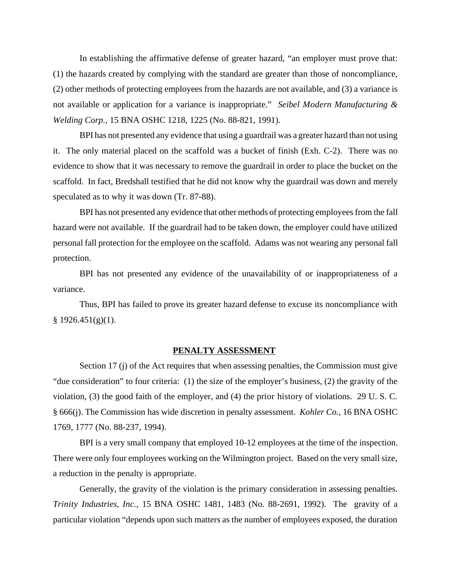In establishing the affirmative defense of greater hazard, "an employer must prove that: (1) the hazards created by complying with the standard are greater than those of noncompliance, (2) other methods of protecting employees from the hazards are not available, and (3) a variance is not available or application for a variance is inappropriate." *Seibel Modern Manufacturing & Welding Corp.,* 15 BNA OSHC 1218, 1225 (No. 88-821, 1991).

BPI has not presented any evidence that using a guardrail was a greater hazard than not using it. The only material placed on the scaffold was a bucket of finish (Exh. C-2). There was no evidence to show that it was necessary to remove the guardrail in order to place the bucket on the scaffold. In fact, Bredshall testified that he did not know why the guardrail was down and merely speculated as to why it was down (Tr. 87-88).

BPI has not presented any evidence that other methods of protecting employees from the fall hazard were not available. If the guardrail had to be taken down, the employer could have utilized personal fall protection for the employee on the scaffold. Adams was not wearing any personal fall protection.

BPI has not presented any evidence of the unavailability of or inappropriateness of a variance.

Thus, BPI has failed to prove its greater hazard defense to excuse its noncompliance with  $§ 1926.451(g)(1).$ 

### **PENALTY ASSESSMENT**

Section 17 (j) of the Act requires that when assessing penalties, the Commission must give "due consideration" to four criteria: (1) the size of the employer's business, (2) the gravity of the violation, (3) the good faith of the employer, and (4) the prior history of violations. 29 U. S. C. § 666(j). The Commission has wide discretion in penalty assessment. *Kohler Co.,* 16 BNA OSHC 1769, 1777 (No. 88-237, 1994).

BPI is a very small company that employed 10-12 employees at the time of the inspection. There were only four employees working on the Wilmington project. Based on the very small size, a reduction in the penalty is appropriate.

Generally, the gravity of the violation is the primary consideration in assessing penalties. *Trinity Industries, Inc.,* 15 BNA OSHC 1481, 1483 (No. 88-2691, 1992). The gravity of a particular violation "depends upon such matters as the number of employees exposed, the duration